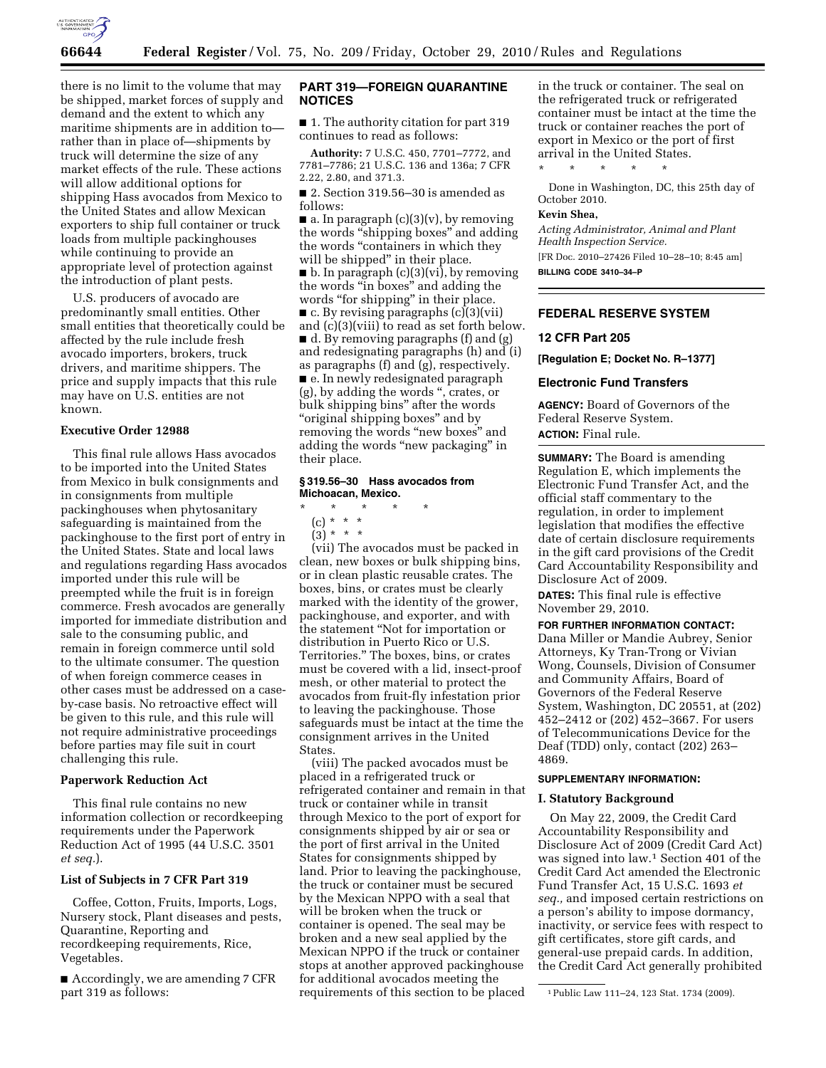

there is no limit to the volume that may be shipped, market forces of supply and demand and the extent to which any maritime shipments are in addition to rather than in place of—shipments by truck will determine the size of any market effects of the rule. These actions will allow additional options for shipping Hass avocados from Mexico to the United States and allow Mexican exporters to ship full container or truck loads from multiple packinghouses while continuing to provide an appropriate level of protection against the introduction of plant pests.

U.S. producers of avocado are predominantly small entities. Other small entities that theoretically could be affected by the rule include fresh avocado importers, brokers, truck drivers, and maritime shippers. The price and supply impacts that this rule may have on U.S. entities are not known.

## **Executive Order 12988**

This final rule allows Hass avocados to be imported into the United States from Mexico in bulk consignments and in consignments from multiple packinghouses when phytosanitary safeguarding is maintained from the packinghouse to the first port of entry in the United States. State and local laws and regulations regarding Hass avocados imported under this rule will be preempted while the fruit is in foreign commerce. Fresh avocados are generally imported for immediate distribution and sale to the consuming public, and remain in foreign commerce until sold to the ultimate consumer. The question of when foreign commerce ceases in other cases must be addressed on a caseby-case basis. No retroactive effect will be given to this rule, and this rule will not require administrative proceedings before parties may file suit in court challenging this rule.

#### **Paperwork Reduction Act**

This final rule contains no new information collection or recordkeeping requirements under the Paperwork Reduction Act of 1995 (44 U.S.C. 3501 *et seq.*).

#### **List of Subjects in 7 CFR Part 319**

Coffee, Cotton, Fruits, Imports, Logs, Nursery stock, Plant diseases and pests, Quarantine, Reporting and recordkeeping requirements, Rice, Vegetables.

■ Accordingly, we are amending 7 CFR part 319 as follows:

## **PART 319—FOREIGN QUARANTINE NOTICES**

■ 1. The authority citation for part 319 continues to read as follows:

**Authority:** 7 U.S.C. 450, 7701–7772, and 7781–7786; 21 U.S.C. 136 and 136a; 7 CFR 2.22, 2.80, and 371.3.

■ 2. Section 319.56-30 is amended as follows:

 $\blacksquare$  a. In paragraph (c)(3)(v), by removing the words ''shipping boxes'' and adding the words "containers in which they will be shipped'' in their place. ■ b. In paragraph (c)(3)(vi), by removing the words ''in boxes'' and adding the words "for shipping" in their place. ■ c. By revising paragraphs (c)(3)(vii) and (c)(3)(viii) to read as set forth below. ■ d. By removing paragraphs (f) and (g) and redesignating paragraphs (h) and (i) as paragraphs (f) and (g), respectively. ■ e. In newly redesignated paragraph (g), by adding the words '', crates, or bulk shipping bins'' after the words ''original shipping boxes'' and by removing the words "new boxes" and adding the words ''new packaging'' in their place.

#### **§ 319.56–30 Hass avocados from Michoacan, Mexico.**

- \* \* \* \* \*
	- (c) \* \* \*
- $(3) * * * *$

(vii) The avocados must be packed in clean, new boxes or bulk shipping bins, or in clean plastic reusable crates. The boxes, bins, or crates must be clearly marked with the identity of the grower, packinghouse, and exporter, and with the statement ''Not for importation or distribution in Puerto Rico or U.S. Territories.'' The boxes, bins, or crates must be covered with a lid, insect-proof mesh, or other material to protect the avocados from fruit-fly infestation prior to leaving the packinghouse. Those safeguards must be intact at the time the consignment arrives in the United States.

(viii) The packed avocados must be placed in a refrigerated truck or refrigerated container and remain in that truck or container while in transit through Mexico to the port of export for consignments shipped by air or sea or the port of first arrival in the United States for consignments shipped by land. Prior to leaving the packinghouse, the truck or container must be secured by the Mexican NPPO with a seal that will be broken when the truck or container is opened. The seal may be broken and a new seal applied by the Mexican NPPO if the truck or container stops at another approved packinghouse for additional avocados meeting the requirements of this section to be placed

in the truck or container. The seal on the refrigerated truck or refrigerated container must be intact at the time the truck or container reaches the port of export in Mexico or the port of first arrival in the United States. \* \* \* \* \*

Done in Washington, DC, this 25th day of October 2010.

## **Kevin Shea,**

*Acting Administrator, Animal and Plant Health Inspection Service.*  [FR Doc. 2010–27426 Filed 10–28–10; 8:45 am] **BILLING CODE 3410–34–P** 

## **FEDERAL RESERVE SYSTEM**

## **12 CFR Part 205**

**[Regulation E; Docket No. R–1377]** 

#### **Electronic Fund Transfers**

**AGENCY:** Board of Governors of the Federal Reserve System. **ACTION:** Final rule.

**SUMMARY:** The Board is amending Regulation E, which implements the Electronic Fund Transfer Act, and the official staff commentary to the regulation, in order to implement legislation that modifies the effective date of certain disclosure requirements in the gift card provisions of the Credit Card Accountability Responsibility and Disclosure Act of 2009.

**DATES:** This final rule is effective November 29, 2010.

**FOR FURTHER INFORMATION CONTACT:**  Dana Miller or Mandie Aubrey, Senior Attorneys, Ky Tran-Trong or Vivian Wong, Counsels, Division of Consumer and Community Affairs, Board of

Governors of the Federal Reserve System, Washington, DC 20551, at (202) 452–2412 or (202) 452–3667. For users of Telecommunications Device for the Deaf (TDD) only, contact (202) 263– 4869.

#### **SUPPLEMENTARY INFORMATION:**

#### **I. Statutory Background**

On May 22, 2009, the Credit Card Accountability Responsibility and Disclosure Act of 2009 (Credit Card Act) was signed into law.1 Section 401 of the Credit Card Act amended the Electronic Fund Transfer Act, 15 U.S.C. 1693 *et seq.,* and imposed certain restrictions on a person's ability to impose dormancy, inactivity, or service fees with respect to gift certificates, store gift cards, and general-use prepaid cards. In addition, the Credit Card Act generally prohibited

<sup>1</sup>Public Law 111–24, 123 Stat. 1734 (2009).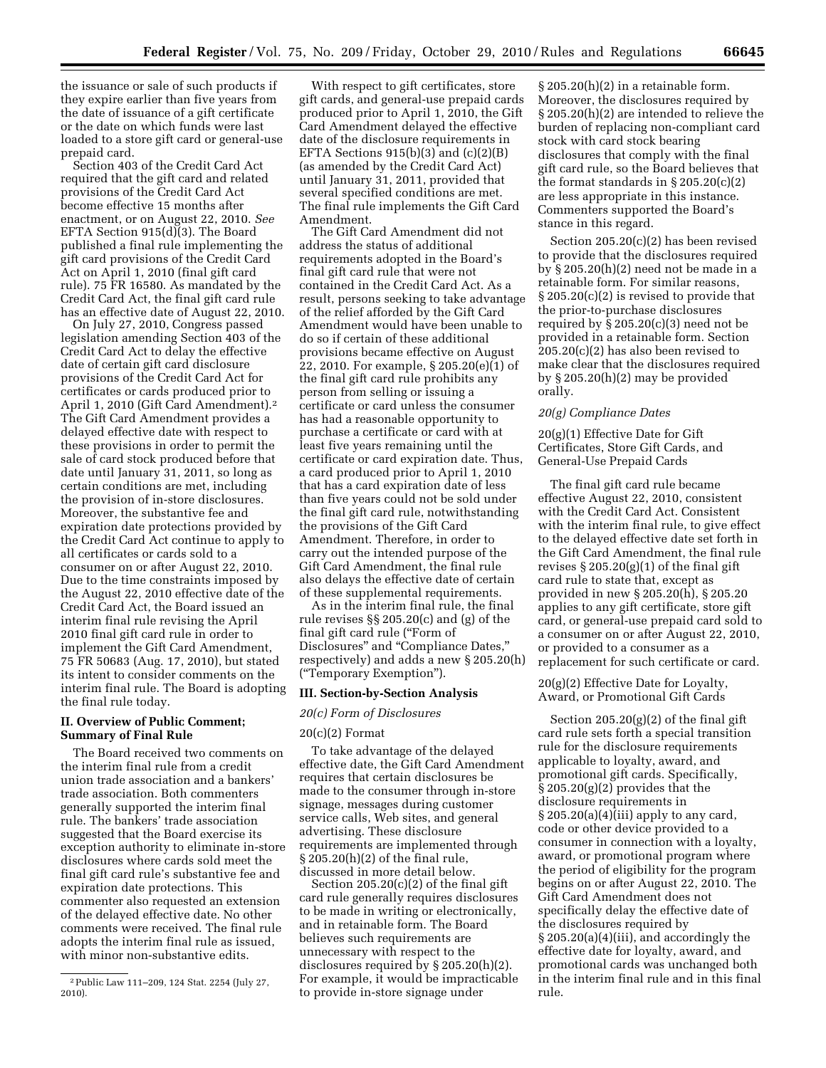the issuance or sale of such products if they expire earlier than five years from the date of issuance of a gift certificate or the date on which funds were last loaded to a store gift card or general-use prepaid card.

Section 403 of the Credit Card Act required that the gift card and related provisions of the Credit Card Act become effective 15 months after enactment, or on August 22, 2010. *See*  EFTA Section 915(d)(3). The Board published a final rule implementing the gift card provisions of the Credit Card Act on April 1, 2010 (final gift card rule). 75 FR 16580. As mandated by the Credit Card Act, the final gift card rule has an effective date of August 22, 2010.

On July 27, 2010, Congress passed legislation amending Section 403 of the Credit Card Act to delay the effective date of certain gift card disclosure provisions of the Credit Card Act for certificates or cards produced prior to April 1, 2010 (Gift Card Amendment).2 The Gift Card Amendment provides a delayed effective date with respect to these provisions in order to permit the sale of card stock produced before that date until January 31, 2011, so long as certain conditions are met, including the provision of in-store disclosures. Moreover, the substantive fee and expiration date protections provided by the Credit Card Act continue to apply to all certificates or cards sold to a consumer on or after August 22, 2010. Due to the time constraints imposed by the August 22, 2010 effective date of the Credit Card Act, the Board issued an interim final rule revising the April 2010 final gift card rule in order to implement the Gift Card Amendment, 75 FR 50683 (Aug. 17, 2010), but stated its intent to consider comments on the interim final rule. The Board is adopting the final rule today.

## **II. Overview of Public Comment; Summary of Final Rule**

The Board received two comments on the interim final rule from a credit union trade association and a bankers' trade association. Both commenters generally supported the interim final rule. The bankers' trade association suggested that the Board exercise its exception authority to eliminate in-store disclosures where cards sold meet the final gift card rule's substantive fee and expiration date protections. This commenter also requested an extension of the delayed effective date. No other comments were received. The final rule adopts the interim final rule as issued, with minor non-substantive edits.

With respect to gift certificates, store gift cards, and general-use prepaid cards produced prior to April 1, 2010, the Gift Card Amendment delayed the effective date of the disclosure requirements in EFTA Sections  $915(b)(3)$  and  $(c)(2)(B)$ (as amended by the Credit Card Act) until January 31, 2011, provided that several specified conditions are met. The final rule implements the Gift Card Amendment.

The Gift Card Amendment did not address the status of additional requirements adopted in the Board's final gift card rule that were not contained in the Credit Card Act. As a result, persons seeking to take advantage of the relief afforded by the Gift Card Amendment would have been unable to do so if certain of these additional provisions became effective on August 22, 2010. For example, § 205.20(e)(1) of the final gift card rule prohibits any person from selling or issuing a certificate or card unless the consumer has had a reasonable opportunity to purchase a certificate or card with at least five years remaining until the certificate or card expiration date. Thus, a card produced prior to April 1, 2010 that has a card expiration date of less than five years could not be sold under the final gift card rule, notwithstanding the provisions of the Gift Card Amendment. Therefore, in order to carry out the intended purpose of the Gift Card Amendment, the final rule also delays the effective date of certain of these supplemental requirements.

As in the interim final rule, the final rule revises §§ 205.20(c) and (g) of the final gift card rule (''Form of Disclosures'' and ''Compliance Dates,'' respectively) and adds a new § 205.20(h) (''Temporary Exemption'').

#### **III. Section-by-Section Analysis**

#### *20(c) Form of Disclosures*

#### $20(c)(2)$  Format

To take advantage of the delayed effective date, the Gift Card Amendment requires that certain disclosures be made to the consumer through in-store signage, messages during customer service calls, Web sites, and general advertising. These disclosure requirements are implemented through § 205.20(h)(2) of the final rule, discussed in more detail below.

Section 205.20(c)(2) of the final gift card rule generally requires disclosures to be made in writing or electronically, and in retainable form. The Board believes such requirements are unnecessary with respect to the disclosures required by § 205.20(h)(2). For example, it would be impracticable to provide in-store signage under

§ 205.20(h)(2) in a retainable form. Moreover, the disclosures required by § 205.20(h)(2) are intended to relieve the burden of replacing non-compliant card stock with card stock bearing disclosures that comply with the final gift card rule, so the Board believes that the format standards in  $\S 205.20(c)(2)$ are less appropriate in this instance. Commenters supported the Board's stance in this regard.

Section 205.20(c)(2) has been revised to provide that the disclosures required by § 205.20(h)(2) need not be made in a retainable form. For similar reasons, § 205.20(c)(2) is revised to provide that the prior-to-purchase disclosures required by  $\S 205.20(c)(3)$  need not be provided in a retainable form. Section 205.20(c)(2) has also been revised to make clear that the disclosures required by § 205.20(h)(2) may be provided orally.

### *20(g) Compliance Dates*

20(g)(1) Effective Date for Gift Certificates, Store Gift Cards, and General-Use Prepaid Cards

The final gift card rule became effective August 22, 2010, consistent with the Credit Card Act. Consistent with the interim final rule, to give effect to the delayed effective date set forth in the Gift Card Amendment, the final rule revises  $\S 205.20(g)(1)$  of the final gift card rule to state that, except as provided in new § 205.20(h), § 205.20 applies to any gift certificate, store gift card, or general-use prepaid card sold to a consumer on or after August 22, 2010, or provided to a consumer as a replacement for such certificate or card.

20(g)(2) Effective Date for Loyalty, Award, or Promotional Gift Cards

Section 205.20(g)(2) of the final gift card rule sets forth a special transition rule for the disclosure requirements applicable to loyalty, award, and promotional gift cards. Specifically, § 205.20(g)(2) provides that the disclosure requirements in  $\S 205.20(a)(4)$ (iii) apply to any card, code or other device provided to a consumer in connection with a loyalty, award, or promotional program where the period of eligibility for the program begins on or after August 22, 2010. The Gift Card Amendment does not specifically delay the effective date of the disclosures required by § 205.20(a)(4)(iii), and accordingly the effective date for loyalty, award, and promotional cards was unchanged both in the interim final rule and in this final rule.

<sup>2</sup>Public Law 111–209, 124 Stat. 2254 (July 27, 2010).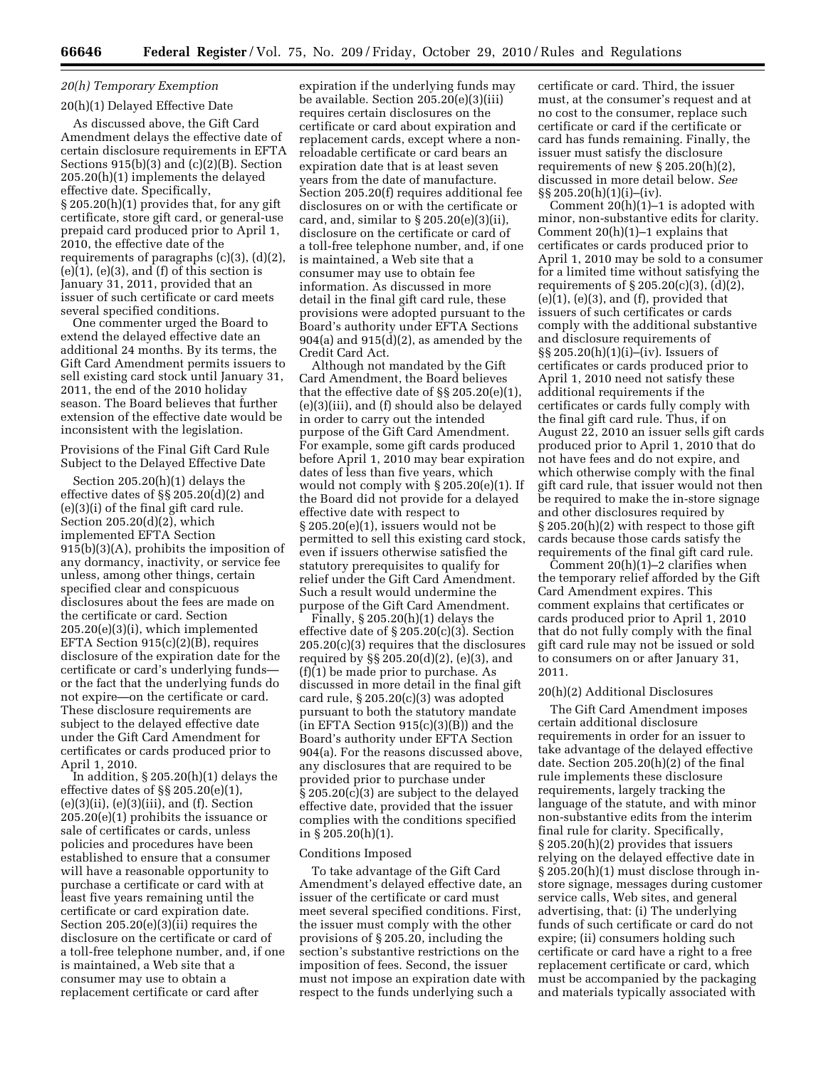# *20(h) Temporary Exemption*

#### 20(h)(1) Delayed Effective Date

As discussed above, the Gift Card Amendment delays the effective date of certain disclosure requirements in EFTA Sections 915(b)(3) and (c)(2)(B). Section 205.20(h)(1) implements the delayed effective date. Specifically, § 205.20(h)(1) provides that, for any gift certificate, store gift card, or general-use prepaid card produced prior to April 1, 2010, the effective date of the requirements of paragraphs (c)(3), (d)(2),  $(e)(1)$ ,  $(e)(3)$ , and  $(f)$  of this section is January 31, 2011, provided that an issuer of such certificate or card meets several specified conditions.

One commenter urged the Board to extend the delayed effective date an additional 24 months. By its terms, the Gift Card Amendment permits issuers to sell existing card stock until January 31, 2011, the end of the 2010 holiday season. The Board believes that further extension of the effective date would be inconsistent with the legislation.

Provisions of the Final Gift Card Rule Subject to the Delayed Effective Date

Section 205.20(h)(1) delays the effective dates of  $\S$  205.20 $(d)(2)$  and (e)(3)(i) of the final gift card rule. Section 205.20(d)(2), which implemented EFTA Section 915(b)(3)(A), prohibits the imposition of any dormancy, inactivity, or service fee unless, among other things, certain specified clear and conspicuous disclosures about the fees are made on the certificate or card. Section 205.20(e)(3)(i), which implemented EFTA Section 915(c)(2)(B), requires disclosure of the expiration date for the certificate or card's underlying funds or the fact that the underlying funds do not expire—on the certificate or card. These disclosure requirements are subject to the delayed effective date under the Gift Card Amendment for certificates or cards produced prior to April 1, 2010.

In addition,  $\S\,205.20(h)(1)$  delays the effective dates of §§ 205.20(e)(1),  $(e)(3)(ii)$ ,  $(e)(3)(iii)$ , and  $(f)$ . Section 205.20(e)(1) prohibits the issuance or sale of certificates or cards, unless policies and procedures have been established to ensure that a consumer will have a reasonable opportunity to purchase a certificate or card with at least five years remaining until the certificate or card expiration date. Section  $205.20(e)(3)(ii)$  requires the disclosure on the certificate or card of a toll-free telephone number, and, if one is maintained, a Web site that a consumer may use to obtain a replacement certificate or card after

expiration if the underlying funds may be available. Section 205.20(e)(3)(iii) requires certain disclosures on the certificate or card about expiration and replacement cards, except where a nonreloadable certificate or card bears an expiration date that is at least seven years from the date of manufacture. Section 205.20(f) requires additional fee disclosures on or with the certificate or card, and, similar to  $\S 205.20(e)(3)(ii)$ , disclosure on the certificate or card of a toll-free telephone number, and, if one is maintained, a Web site that a consumer may use to obtain fee information. As discussed in more detail in the final gift card rule, these provisions were adopted pursuant to the Board's authority under EFTA Sections  $904(a)$  and  $915(d)(2)$ , as amended by the Credit Card Act.

Although not mandated by the Gift Card Amendment, the Board believes that the effective date of §§ 205.20(e)(1), (e)(3)(iii), and (f) should also be delayed in order to carry out the intended purpose of the Gift Card Amendment. For example, some gift cards produced before April 1, 2010 may bear expiration dates of less than five years, which would not comply with § 205.20(e)(1). If the Board did not provide for a delayed effective date with respect to § 205.20(e)(1), issuers would not be permitted to sell this existing card stock, even if issuers otherwise satisfied the statutory prerequisites to qualify for relief under the Gift Card Amendment. Such a result would undermine the purpose of the Gift Card Amendment.

Finally,  $\S 205.20(h)(1)$  delays the effective date of § 205.20(c)(3). Section 205.20(c)(3) requires that the disclosures required by §§ 205.20(d)(2), (e)(3), and (f)(1) be made prior to purchase. As discussed in more detail in the final gift card rule, § 205.20(c)(3) was adopted pursuant to both the statutory mandate  $(in EFTA Section 915(c)(3)(B))$  and the Board's authority under EFTA Section 904(a). For the reasons discussed above, any disclosures that are required to be provided prior to purchase under § 205.20(c)(3) are subject to the delayed effective date, provided that the issuer complies with the conditions specified in § 205.20(h)(1).

#### Conditions Imposed

To take advantage of the Gift Card Amendment's delayed effective date, an issuer of the certificate or card must meet several specified conditions. First, the issuer must comply with the other provisions of § 205.20, including the section's substantive restrictions on the imposition of fees. Second, the issuer must not impose an expiration date with respect to the funds underlying such a

certificate or card. Third, the issuer must, at the consumer's request and at no cost to the consumer, replace such certificate or card if the certificate or card has funds remaining. Finally, the issuer must satisfy the disclosure requirements of new § 205.20(h)(2), discussed in more detail below. *See*  §§ 205.20(h)(1)(i)–(iv).

Comment 20(h)(1)–1 is adopted with minor, non-substantive edits for clarity. Comment 20(h)(1)–1 explains that certificates or cards produced prior to April 1, 2010 may be sold to a consumer for a limited time without satisfying the requirements of § 205.20(c)(3), (d)(2),  $(e)(1)$ ,  $(e)(3)$ , and  $(f)$ , provided that issuers of such certificates or cards comply with the additional substantive and disclosure requirements of §§ 205.20(h)(1)(i)–(iv). Issuers of certificates or cards produced prior to April 1, 2010 need not satisfy these additional requirements if the certificates or cards fully comply with the final gift card rule. Thus, if on August 22, 2010 an issuer sells gift cards produced prior to April 1, 2010 that do not have fees and do not expire, and which otherwise comply with the final gift card rule, that issuer would not then be required to make the in-store signage and other disclosures required by § 205.20(h)(2) with respect to those gift cards because those cards satisfy the requirements of the final gift card rule.

Comment 20(h)(1)–2 clarifies when the temporary relief afforded by the Gift Card Amendment expires. This comment explains that certificates or cards produced prior to April 1, 2010 that do not fully comply with the final gift card rule may not be issued or sold to consumers on or after January 31, 2011.

#### 20(h)(2) Additional Disclosures

The Gift Card Amendment imposes certain additional disclosure requirements in order for an issuer to take advantage of the delayed effective date. Section 205.20(h)(2) of the final rule implements these disclosure requirements, largely tracking the language of the statute, and with minor non-substantive edits from the interim final rule for clarity. Specifically, § 205.20(h)(2) provides that issuers relying on the delayed effective date in § 205.20(h)(1) must disclose through instore signage, messages during customer service calls, Web sites, and general advertising, that: (i) The underlying funds of such certificate or card do not expire; (ii) consumers holding such certificate or card have a right to a free replacement certificate or card, which must be accompanied by the packaging and materials typically associated with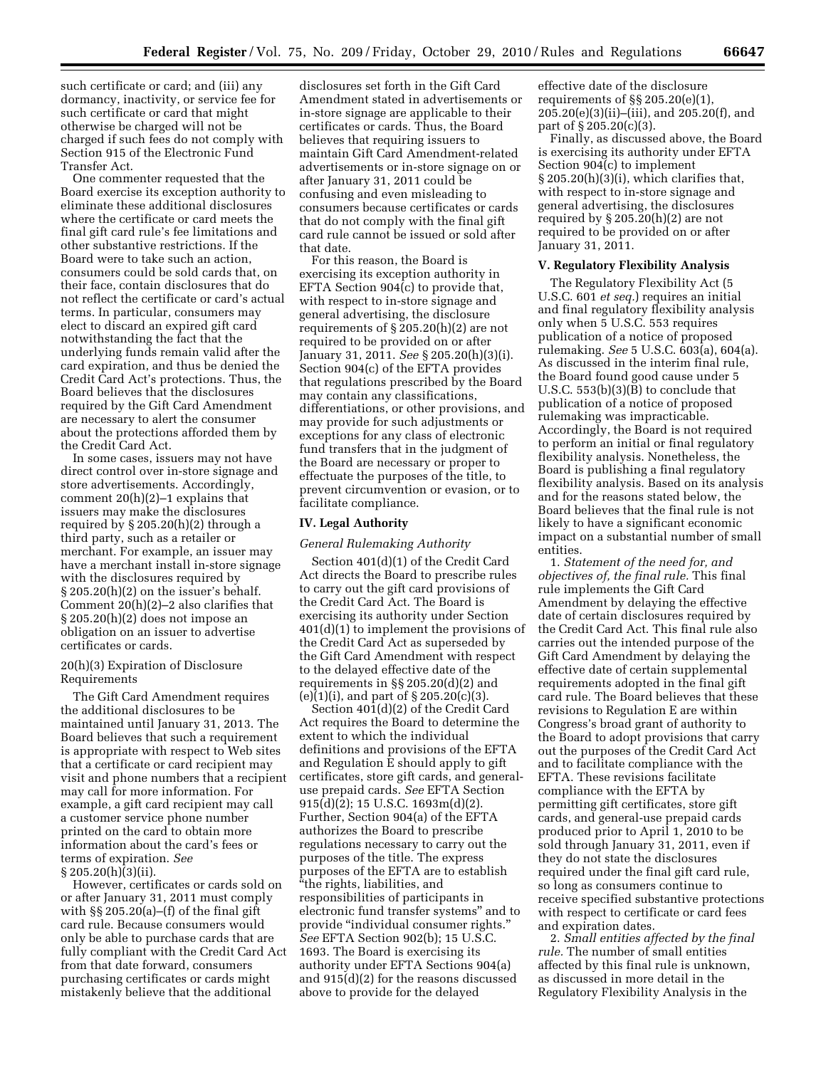such certificate or card; and (iii) any dormancy, inactivity, or service fee for such certificate or card that might otherwise be charged will not be charged if such fees do not comply with Section 915 of the Electronic Fund Transfer Act.

One commenter requested that the Board exercise its exception authority to eliminate these additional disclosures where the certificate or card meets the final gift card rule's fee limitations and other substantive restrictions. If the Board were to take such an action, consumers could be sold cards that, on their face, contain disclosures that do not reflect the certificate or card's actual terms. In particular, consumers may elect to discard an expired gift card notwithstanding the fact that the underlying funds remain valid after the card expiration, and thus be denied the Credit Card Act's protections. Thus, the Board believes that the disclosures required by the Gift Card Amendment are necessary to alert the consumer about the protections afforded them by the Credit Card Act.

In some cases, issuers may not have direct control over in-store signage and store advertisements. Accordingly, comment 20(h)(2)–1 explains that issuers may make the disclosures required by § 205.20(h)(2) through a third party, such as a retailer or merchant. For example, an issuer may have a merchant install in-store signage with the disclosures required by § 205.20(h)(2) on the issuer's behalf. Comment 20(h)(2)–2 also clarifies that § 205.20(h)(2) does not impose an obligation on an issuer to advertise certificates or cards.

### 20(h)(3) Expiration of Disclosure Requirements

The Gift Card Amendment requires the additional disclosures to be maintained until January 31, 2013. The Board believes that such a requirement is appropriate with respect to Web sites that a certificate or card recipient may visit and phone numbers that a recipient may call for more information. For example, a gift card recipient may call a customer service phone number printed on the card to obtain more information about the card's fees or terms of expiration. *See*  § 205.20(h)(3)(ii).

However, certificates or cards sold on or after January 31, 2011 must comply with §§ 205.20(a)–(f) of the final gift card rule. Because consumers would only be able to purchase cards that are fully compliant with the Credit Card Act from that date forward, consumers purchasing certificates or cards might mistakenly believe that the additional

disclosures set forth in the Gift Card Amendment stated in advertisements or in-store signage are applicable to their certificates or cards. Thus, the Board believes that requiring issuers to maintain Gift Card Amendment-related advertisements or in-store signage on or after January 31, 2011 could be confusing and even misleading to consumers because certificates or cards that do not comply with the final gift card rule cannot be issued or sold after that date.

For this reason, the Board is exercising its exception authority in EFTA Section 904(c) to provide that, with respect to in-store signage and general advertising, the disclosure requirements of § 205.20(h)(2) are not required to be provided on or after January 31, 2011. *See* § 205.20(h)(3)(i). Section 904(c) of the EFTA provides that regulations prescribed by the Board may contain any classifications, differentiations, or other provisions, and may provide for such adjustments or exceptions for any class of electronic fund transfers that in the judgment of the Board are necessary or proper to effectuate the purposes of the title, to prevent circumvention or evasion, or to facilitate compliance.

#### **IV. Legal Authority**

#### *General Rulemaking Authority*

Section 401(d)(1) of the Credit Card Act directs the Board to prescribe rules to carry out the gift card provisions of the Credit Card Act. The Board is exercising its authority under Section 401(d)(1) to implement the provisions of the Credit Card Act as superseded by the Gift Card Amendment with respect to the delayed effective date of the requirements in §§ 205.20(d)(2) and (e)(1)(i), and part of  $\S 205.20(c)(3)$ .

Section 401(d)(2) of the Credit Card Act requires the Board to determine the extent to which the individual definitions and provisions of the EFTA and Regulation E should apply to gift certificates, store gift cards, and generaluse prepaid cards. *See* EFTA Section 915(d)(2); 15 U.S.C. 1693m(d)(2). Further, Section 904(a) of the EFTA authorizes the Board to prescribe regulations necessary to carry out the purposes of the title. The express purposes of the EFTA are to establish ''the rights, liabilities, and responsibilities of participants in electronic fund transfer systems'' and to provide ''individual consumer rights.'' *See* EFTA Section 902(b); 15 U.S.C. 1693. The Board is exercising its authority under EFTA Sections 904(a) and 915(d)(2) for the reasons discussed above to provide for the delayed

effective date of the disclosure requirements of §§ 205.20(e)(1), 205.20(e)(3)(ii)–(iii), and 205.20(f), and part of § 205.20(c)(3).

Finally, as discussed above, the Board is exercising its authority under EFTA Section 904(c) to implement § 205.20(h)(3)(i), which clarifies that, with respect to in-store signage and general advertising, the disclosures required by § 205.20(h)(2) are not required to be provided on or after January 31, 2011.

#### **V. Regulatory Flexibility Analysis**

The Regulatory Flexibility Act (5 U.S.C. 601 *et seq.*) requires an initial and final regulatory flexibility analysis only when 5 U.S.C. 553 requires publication of a notice of proposed rulemaking. *See* 5 U.S.C. 603(a), 604(a). As discussed in the interim final rule, the Board found good cause under 5 U.S.C. 553(b)(3)(B) to conclude that publication of a notice of proposed rulemaking was impracticable. Accordingly, the Board is not required to perform an initial or final regulatory flexibility analysis. Nonetheless, the Board is publishing a final regulatory flexibility analysis. Based on its analysis and for the reasons stated below, the Board believes that the final rule is not likely to have a significant economic impact on a substantial number of small entities.

1. *Statement of the need for, and objectives of, the final rule.* This final rule implements the Gift Card Amendment by delaying the effective date of certain disclosures required by the Credit Card Act. This final rule also carries out the intended purpose of the Gift Card Amendment by delaying the effective date of certain supplemental requirements adopted in the final gift card rule. The Board believes that these revisions to Regulation E are within Congress's broad grant of authority to the Board to adopt provisions that carry out the purposes of the Credit Card Act and to facilitate compliance with the EFTA. These revisions facilitate compliance with the EFTA by permitting gift certificates, store gift cards, and general-use prepaid cards produced prior to April 1, 2010 to be sold through January 31, 2011, even if they do not state the disclosures required under the final gift card rule, so long as consumers continue to receive specified substantive protections with respect to certificate or card fees and expiration dates.

2. *Small entities affected by the final rule.* The number of small entities affected by this final rule is unknown, as discussed in more detail in the Regulatory Flexibility Analysis in the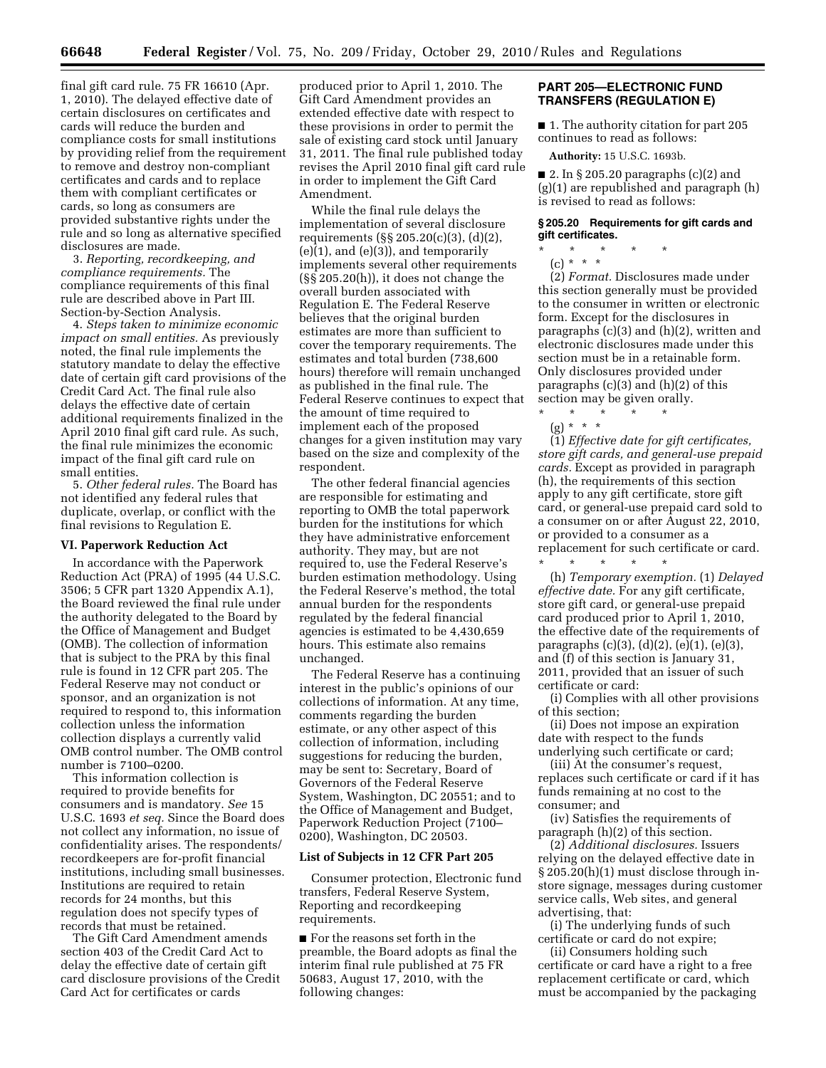final gift card rule. 75 FR 16610 (Apr. 1, 2010). The delayed effective date of certain disclosures on certificates and cards will reduce the burden and compliance costs for small institutions by providing relief from the requirement to remove and destroy non-compliant certificates and cards and to replace them with compliant certificates or cards, so long as consumers are provided substantive rights under the rule and so long as alternative specified disclosures are made.

3. *Reporting, recordkeeping, and compliance requirements.* The compliance requirements of this final rule are described above in Part III. Section-by-Section Analysis.

4. *Steps taken to minimize economic impact on small entities.* As previously noted, the final rule implements the statutory mandate to delay the effective date of certain gift card provisions of the Credit Card Act. The final rule also delays the effective date of certain additional requirements finalized in the April 2010 final gift card rule. As such, the final rule minimizes the economic impact of the final gift card rule on small entities.

5. *Other federal rules.* The Board has not identified any federal rules that duplicate, overlap, or conflict with the final revisions to Regulation E.

#### **VI. Paperwork Reduction Act**

In accordance with the Paperwork Reduction Act (PRA) of 1995 (44 U.S.C. 3506; 5 CFR part 1320 Appendix A.1), the Board reviewed the final rule under the authority delegated to the Board by the Office of Management and Budget (OMB). The collection of information that is subject to the PRA by this final rule is found in 12 CFR part 205. The Federal Reserve may not conduct or sponsor, and an organization is not required to respond to, this information collection unless the information collection displays a currently valid OMB control number. The OMB control number is 7100–0200.

This information collection is required to provide benefits for consumers and is mandatory. *See* 15 U.S.C. 1693 *et seq.* Since the Board does not collect any information, no issue of confidentiality arises. The respondents/ recordkeepers are for-profit financial institutions, including small businesses. Institutions are required to retain records for 24 months, but this regulation does not specify types of records that must be retained.

The Gift Card Amendment amends section 403 of the Credit Card Act to delay the effective date of certain gift card disclosure provisions of the Credit Card Act for certificates or cards

produced prior to April 1, 2010. The Gift Card Amendment provides an extended effective date with respect to these provisions in order to permit the sale of existing card stock until January 31, 2011. The final rule published today revises the April 2010 final gift card rule in order to implement the Gift Card Amendment.

While the final rule delays the implementation of several disclosure requirements (§§ 205.20(c)(3), (d)(2), (e)(1), and (e)(3)), and temporarily implements several other requirements (§§ 205.20(h)), it does not change the overall burden associated with Regulation E. The Federal Reserve believes that the original burden estimates are more than sufficient to cover the temporary requirements. The estimates and total burden (738,600 hours) therefore will remain unchanged as published in the final rule. The Federal Reserve continues to expect that the amount of time required to implement each of the proposed changes for a given institution may vary based on the size and complexity of the respondent.

The other federal financial agencies are responsible for estimating and reporting to OMB the total paperwork burden for the institutions for which they have administrative enforcement authority. They may, but are not required to, use the Federal Reserve's burden estimation methodology. Using the Federal Reserve's method, the total annual burden for the respondents regulated by the federal financial agencies is estimated to be 4,430,659 hours. This estimate also remains unchanged.

The Federal Reserve has a continuing interest in the public's opinions of our collections of information. At any time, comments regarding the burden estimate, or any other aspect of this collection of information, including suggestions for reducing the burden, may be sent to: Secretary, Board of Governors of the Federal Reserve System, Washington, DC 20551; and to the Office of Management and Budget, Paperwork Reduction Project (7100– 0200), Washington, DC 20503.

#### **List of Subjects in 12 CFR Part 205**

Consumer protection, Electronic fund transfers, Federal Reserve System, Reporting and recordkeeping requirements.

■ For the reasons set forth in the preamble, the Board adopts as final the interim final rule published at 75 FR 50683, August 17, 2010, with the following changes:

## **PART 205—ELECTRONIC FUND TRANSFERS (REGULATION E)**

■ 1. The authority citation for part 205 continues to read as follows:

**Authority:** 15 U.S.C. 1693b.

 $\blacksquare$  2. In § 205.20 paragraphs (c)(2) and (g)(1) are republished and paragraph (h) is revised to read as follows:

#### **§ 205.20 Requirements for gift cards and gift certificates.**

\* \* \* \* \*  $(c) * * * *$ 

(2) *Format.* Disclosures made under this section generally must be provided to the consumer in written or electronic form. Except for the disclosures in paragraphs (c)(3) and (h)(2), written and electronic disclosures made under this section must be in a retainable form. Only disclosures provided under paragraphs (c)(3) and (h)(2) of this section may be given orally.

\* \* \* \* \* (g) \* \* \*

(1) *Effective date for gift certificates, store gift cards, and general-use prepaid cards.* Except as provided in paragraph (h), the requirements of this section apply to any gift certificate, store gift card, or general-use prepaid card sold to a consumer on or after August 22, 2010, or provided to a consumer as a replacement for such certificate or card.

\* \* \* \* \* (h) *Temporary exemption.* (1) *Delayed effective date.* For any gift certificate, store gift card, or general-use prepaid card produced prior to April 1, 2010, the effective date of the requirements of paragraphs (c)(3), (d)(2), (e)(1), (e)(3), and (f) of this section is January 31, 2011, provided that an issuer of such certificate or card:

(i) Complies with all other provisions of this section;

(ii) Does not impose an expiration date with respect to the funds underlying such certificate or card;

(iii) At the consumer's request, replaces such certificate or card if it has funds remaining at no cost to the consumer; and

(iv) Satisfies the requirements of paragraph (h)(2) of this section.

(2) *Additional disclosures.* Issuers relying on the delayed effective date in § 205.20(h)(1) must disclose through instore signage, messages during customer service calls, Web sites, and general advertising, that:

(i) The underlying funds of such certificate or card do not expire;

(ii) Consumers holding such certificate or card have a right to a free replacement certificate or card, which must be accompanied by the packaging